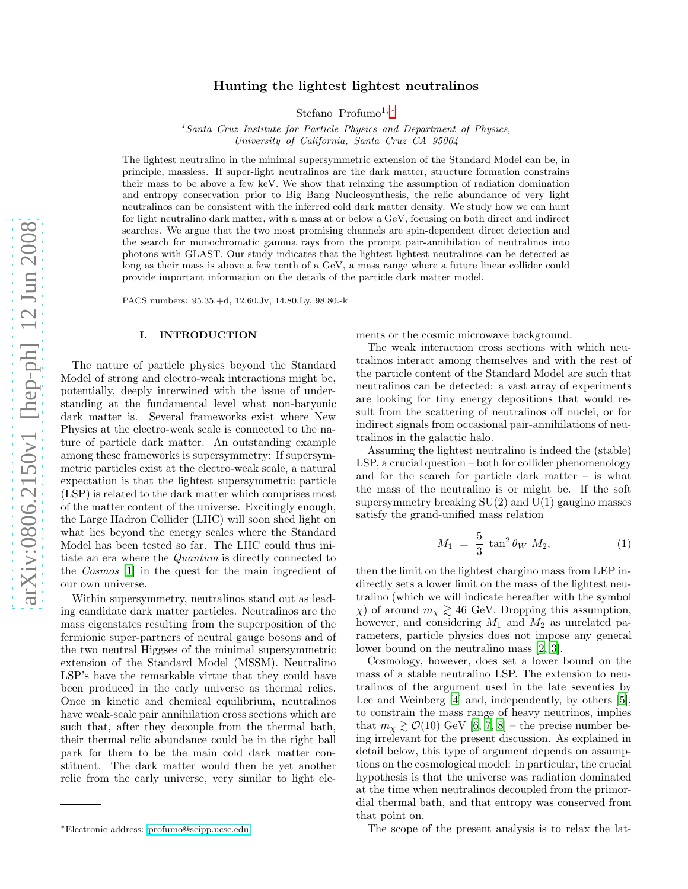# Hunting the lightest lightest neutralinos

Stefano Profumo1, [∗](#page-0-0)

 $1$ Santa Cruz Institute for Particle Physics and Department of Physics, University of California, Santa Cruz CA 95064

The lightest neutralino in the minimal supersymmetric extension of the Standard Model can be, in principle, massless. If super-light neutralinos are the dark matter, structure formation constrains their mass to be above a few keV. We show that relaxing the assumption of radiation domination and entropy conservation prior to Big Bang Nucleosynthesis, the relic abundance of very light neutralinos can be consistent with the inferred cold dark matter density. We study how we can hunt for light neutralino dark matter, with a mass at or below a GeV, focusing on both direct and indirect searches. We argue that the two most promising channels are spin-dependent direct detection and the search for monochromatic gamma rays from the prompt pair-annihilation of neutralinos into photons with GLAST. Our study indicates that the lightest lightest neutralinos can be detected as long as their mass is above a few tenth of a GeV, a mass range where a future linear collider could provide important information on the details of the particle dark matter model.

PACS numbers: 95.35.+d, 12.60.Jv, 14.80.Ly, 98.80.-k

#### I. INTRODUCTION

The nature of particle physics beyond the Standard Model of strong and electro-weak interactions might be, potentially, deeply interwined with the issue of understanding at the fundamental level what non-baryonic dark matter is. Several frameworks exist where New Physics at the electro-weak scale is connected to the nature of particle dark matter. An outstanding example among these frameworks is supersymmetry: If supersymmetric particles exist at the electro-weak scale, a natural expectation is that the lightest supersymmetric particle (LSP) is related to the dark matter which comprises most of the matter content of the universe. Excitingly enough, the Large Hadron Collider (LHC) will soon shed light on what lies beyond the energy scales where the Standard Model has been tested so far. The LHC could thus initiate an era where the Quantum is directly connected to the Cosmos [\[1\]](#page-12-0) in the quest for the main ingredient of our own universe.

Within supersymmetry, neutralinos stand out as leading candidate dark matter particles. Neutralinos are the mass eigenstates resulting from the superposition of the fermionic super-partners of neutral gauge bosons and of the two neutral Higgses of the minimal supersymmetric extension of the Standard Model (MSSM). Neutralino LSP's have the remarkable virtue that they could have been produced in the early universe as thermal relics. Once in kinetic and chemical equilibrium, neutralinos have weak-scale pair annihilation cross sections which are such that, after they decouple from the thermal bath, their thermal relic abundance could be in the right ball park for them to be the main cold dark matter constituent. The dark matter would then be yet another relic from the early universe, very similar to light elements or the cosmic microwave background.

The weak interaction cross sections with which neutralinos interact among themselves and with the rest of the particle content of the Standard Model are such that neutralinos can be detected: a vast array of experiments are looking for tiny energy depositions that would result from the scattering of neutralinos off nuclei, or for indirect signals from occasional pair-annihilations of neutralinos in the galactic halo.

Assuming the lightest neutralino is indeed the (stable) LSP, a crucial question – both for collider phenomenology and for the search for particle dark matter  $-$  is what the mass of the neutralino is or might be. If the soft supersymmetry breaking  $SU(2)$  and  $U(1)$  gaugino masses satisfy the grand-unified mass relation

$$
M_1 = \frac{5}{3} \tan^2 \theta_W M_2, \tag{1}
$$

then the limit on the lightest chargino mass from LEP indirectly sets a lower limit on the mass of the lightest neutralino (which we will indicate hereafter with the symbol  $\chi$ ) of around  $m_{\chi} \gtrsim 46$  GeV. Dropping this assumption, however, and considering  $M_1$  and  $M_2$  as unrelated parameters, particle physics does not impose any general lower bound on the neutralino mass [\[2,](#page-12-1) [3\]](#page-12-2).

Cosmology, however, does set a lower bound on the mass of a stable neutralino LSP. The extension to neutralinos of the argument used in the late seventies by Lee and Weinberg [\[4](#page-12-3)] and, independently, by others [\[5\]](#page-12-4), to constrain the mass range of heavy neutrinos, implies that  $m_{\chi} \gtrsim \mathcal{O}(10)$  GeV [\[6](#page-12-5), [7](#page-12-6), [8](#page-12-7)] – the precise number being irrelevant for the present discussion. As explained in detail below, this type of argument depends on assumptions on the cosmological model: in particular, the crucial hypothesis is that the universe was radiation dominated at the time when neutralinos decoupled from the primordial thermal bath, and that entropy was conserved from that point on.

The scope of the present analysis is to relax the lat-

<span id="page-0-0"></span><sup>∗</sup>Electronic address: [profumo@scipp.ucsc.edu](mailto:profumo@scipp.ucsc.edu)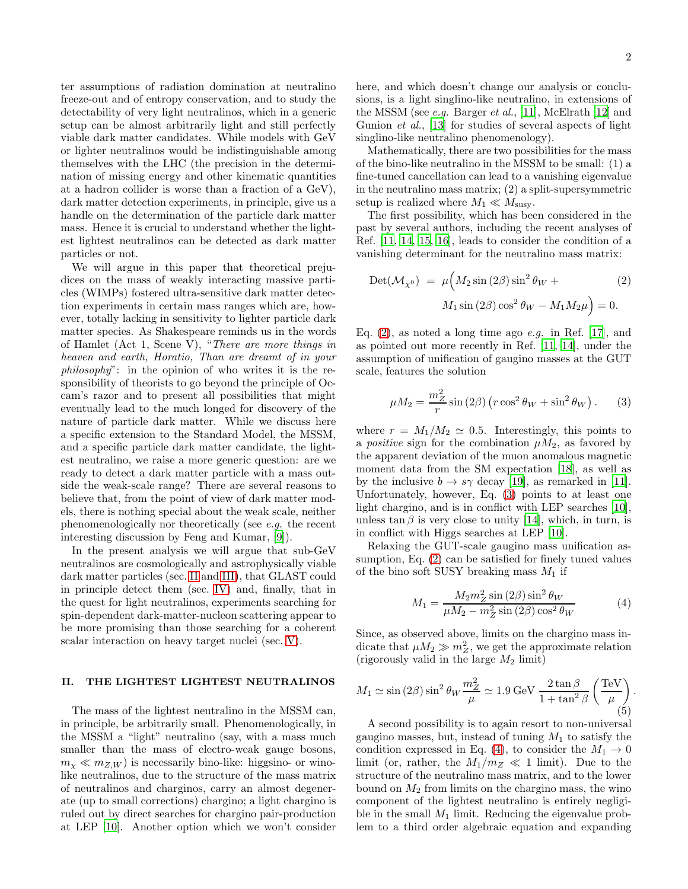ter assumptions of radiation domination at neutralino freeze-out and of entropy conservation, and to study the detectability of very light neutralinos, which in a generic setup can be almost arbitrarily light and still perfectly viable dark matter candidates. While models with GeV or lighter neutralinos would be indistinguishable among themselves with the LHC (the precision in the determination of missing energy and other kinematic quantities at a hadron collider is worse than a fraction of a GeV), dark matter detection experiments, in principle, give us a handle on the determination of the particle dark matter mass. Hence it is crucial to understand whether the lightest lightest neutralinos can be detected as dark matter particles or not.

We will argue in this paper that theoretical prejudices on the mass of weakly interacting massive particles (WIMPs) fostered ultra-sensitive dark matter detection experiments in certain mass ranges which are, however, totally lacking in sensitivity to lighter particle dark matter species. As Shakespeare reminds us in the words of Hamlet (Act 1, Scene V), "There are more things in heaven and earth, Horatio, Than are dreamt of in your philosophy": in the opinion of who writes it is the responsibility of theorists to go beyond the principle of Occam's razor and to present all possibilities that might eventually lead to the much longed for discovery of the nature of particle dark matter. While we discuss here a specific extension to the Standard Model, the MSSM, and a specific particle dark matter candidate, the lightest neutralino, we raise a more generic question: are we ready to detect a dark matter particle with a mass outside the weak-scale range? There are several reasons to believe that, from the point of view of dark matter models, there is nothing special about the weak scale, neither phenomenologically nor theoretically (see e.g. the recent interesting discussion by Feng and Kumar, [\[9](#page-12-8)]).

In the present analysis we will argue that sub-GeV neutralinos are cosmologically and astrophysically viable dark matter particles (sec. [II](#page-1-0) and [III\)](#page-2-0), that GLAST could in principle detect them (sec. [IV\)](#page-8-0) and, finally, that in the quest for light neutralinos, experiments searching for spin-dependent dark-matter-nucleon scattering appear to be more promising than those searching for a coherent scalar interaction on heavy target nuclei (sec. [V\)](#page-9-0).

### <span id="page-1-0"></span>II. THE LIGHTEST LIGHTEST NEUTRALINOS

The mass of the lightest neutralino in the MSSM can, in principle, be arbitrarily small. Phenomenologically, in the MSSM a "light" neutralino (say, with a mass much smaller than the mass of electro-weak gauge bosons,  $m_{\chi} \ll m_{Z,W}$ ) is necessarily bino-like: higgsino- or winolike neutralinos, due to the structure of the mass matrix of neutralinos and charginos, carry an almost degenerate (up to small corrections) chargino; a light chargino is ruled out by direct searches for chargino pair-production at LEP [\[10](#page-12-9)]. Another option which we won't consider

here, and which doesn't change our analysis or conclusions, is a light singlino-like neutralino, in extensions of the MSSM (see *e.g.* Barger *et al.*, [\[11\]](#page-12-10), McElrath [\[12\]](#page-12-11) and Gunion et al., [\[13\]](#page-12-12) for studies of several aspects of light singlino-like neutralino phenomenology).

Mathematically, there are two possibilities for the mass of the bino-like neutralino in the MSSM to be small: (1) a fine-tuned cancellation can lead to a vanishing eigenvalue in the neutralino mass matrix; (2) a split-supersymmetric setup is realized where  $M_1 \ll M_{\text{susy}}$ .

The first possibility, which has been considered in the past by several authors, including the recent analyses of Ref. [\[11,](#page-12-10) [14,](#page-12-13) [15](#page-12-14), [16](#page-12-15)], leads to consider the condition of a vanishing determinant for the neutralino mass matrix:

<span id="page-1-1"></span>
$$
Det(\mathcal{M}_{\chi^0}) = \mu \Big( M_2 \sin(2\beta) \sin^2 \theta_W +
$$
  

$$
M_1 \sin(2\beta) \cos^2 \theta_W - M_1 M_2 \mu \Big) = 0.
$$
 (2)

Eq.  $(2)$ , as noted a long time ago *e.g.* in Ref. [\[17\]](#page-12-16), and as pointed out more recently in Ref. [\[11,](#page-12-10) [14](#page-12-13)], under the assumption of unification of gaugino masses at the GUT scale, features the solution

<span id="page-1-2"></span>
$$
\mu M_2 = \frac{m_Z^2}{r} \sin(2\beta) \left( r \cos^2 \theta_W + \sin^2 \theta_W \right). \tag{3}
$$

where  $r = M_1/M_2 \simeq 0.5$ . Interestingly, this points to a *positive* sign for the combination  $\mu M_2$ , as favored by the apparent deviation of the muon anomalous magnetic moment data from the SM expectation [\[18\]](#page-12-17), as well as by the inclusive  $b \to s\gamma$  decay [\[19\]](#page-12-18), as remarked in [\[11\]](#page-12-10). Unfortunately, however, Eq. [\(3\)](#page-1-2) points to at least one light chargino, and is in conflict with LEP searches [\[10\]](#page-12-9), unless tan  $\beta$  is very close to unity [\[14\]](#page-12-13), which, in turn, is in conflict with Higgs searches at LEP [\[10](#page-12-9)].

Relaxing the GUT-scale gaugino mass unification assumption, Eq. [\(2\)](#page-1-1) can be satisfied for finely tuned values of the bino soft SUSY breaking mass  $M_1$  if

<span id="page-1-3"></span>
$$
M_1 = \frac{M_2 m_Z^2 \sin(2\beta) \sin^2 \theta_W}{\mu M_2 - m_Z^2 \sin(2\beta) \cos^2 \theta_W}
$$
(4)

.

Since, as observed above, limits on the chargino mass indicate that  $\mu M_2 \gg m_Z^2$ , we get the approximate relation (rigorously valid in the large  $M_2$  limit)

<span id="page-1-4"></span>
$$
M_1 \simeq \sin(2\beta) \sin^2 \theta_W \frac{m_Z^2}{\mu} \simeq 1.9 \,\text{GeV} \, \frac{2 \tan \beta}{1 + \tan^2 \beta} \left(\frac{\text{TeV}}{\mu}\right) \tag{5}
$$

A second possibility is to again resort to non-universal gaugino masses, but, instead of tuning  $M_1$  to satisfy the condition expressed in Eq. [\(4\)](#page-1-3), to consider the  $M_1 \rightarrow 0$ limit (or, rather, the  $M_1/m_Z \ll 1$  limit). Due to the structure of the neutralino mass matrix, and to the lower bound on  $M_2$  from limits on the chargino mass, the wino component of the lightest neutralino is entirely negligible in the small  $M_1$  limit. Reducing the eigenvalue problem to a third order algebraic equation and expanding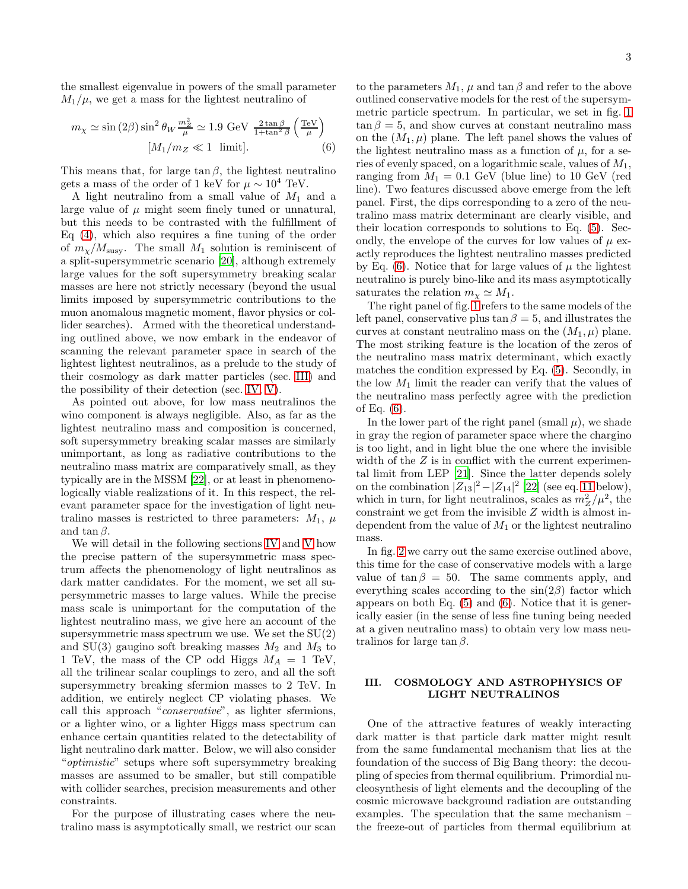the smallest eigenvalue in powers of the small parameter  $M_1/\mu$ , we get a mass for the lightest neutralino of

<span id="page-2-1"></span>
$$
m_{\chi} \simeq \sin(2\beta) \sin^2 \theta_W \frac{m_Z^2}{\mu} \simeq 1.9 \text{ GeV } \frac{2 \tan \beta}{1 + \tan^2 \beta} \left(\frac{\text{TeV}}{\mu}\right)
$$
  
[*M*<sub>1</sub>/*m*<sub>Z</sub>  $\ll$  1 limit]. (6)

This means that, for large  $\tan \beta$ , the lightest neutralino gets a mass of the order of 1 keV for  $\mu \sim 10^4$  TeV.

A light neutralino from a small value of  $M_1$  and a large value of  $\mu$  might seem finely tuned or unnatural, but this needs to be contrasted with the fulfillment of Eq [\(4\)](#page-1-3), which also requires a fine tuning of the order of  $m_\chi/M_{\text{susy}}$ . The small  $M_1$  solution is reminiscent of a split-supersymmetric scenario [\[20\]](#page-12-19), although extremely large values for the soft supersymmetry breaking scalar masses are here not strictly necessary (beyond the usual limits imposed by supersymmetric contributions to the muon anomalous magnetic moment, flavor physics or collider searches). Armed with the theoretical understanding outlined above, we now embark in the endeavor of scanning the relevant parameter space in search of the lightest lightest neutralinos, as a prelude to the study of their cosmology as dark matter particles (sec. [III\)](#page-2-0) and the possibility of their detection (sec. [IV,](#page-8-0) [V\)](#page-9-0).

As pointed out above, for low mass neutralinos the wino component is always negligible. Also, as far as the lightest neutralino mass and composition is concerned, soft supersymmetry breaking scalar masses are similarly unimportant, as long as radiative contributions to the neutralino mass matrix are comparatively small, as they typically are in the MSSM [\[22\]](#page-12-20), or at least in phenomenologically viable realizations of it. In this respect, the relevant parameter space for the investigation of light neutralino masses is restricted to three parameters:  $M_1$ ,  $\mu$ and tan  $\beta$ .

We will detail in the following sections [IV](#page-8-0) and [V](#page-9-0) how the precise pattern of the supersymmetric mass spectrum affects the phenomenology of light neutralinos as dark matter candidates. For the moment, we set all supersymmetric masses to large values. While the precise mass scale is unimportant for the computation of the lightest neutralino mass, we give here an account of the supersymmetric mass spectrum we use. We set the  $SU(2)$ and  $SU(3)$  gaugino soft breaking masses  $M_2$  and  $M_3$  to 1 TeV, the mass of the CP odd Higgs  $M_A = 1$  TeV, all the trilinear scalar couplings to zero, and all the soft supersymmetry breaking sfermion masses to 2 TeV. In addition, we entirely neglect CP violating phases. We call this approach "conservative", as lighter sfermions, or a lighter wino, or a lighter Higgs mass spectrum can enhance certain quantities related to the detectability of light neutralino dark matter. Below, we will also consider "optimistic" setups where soft supersymmetry breaking masses are assumed to be smaller, but still compatible with collider searches, precision measurements and other constraints.

For the purpose of illustrating cases where the neutralino mass is asymptotically small, we restrict our scan

to the parameters  $M_1$ ,  $\mu$  and tan  $\beta$  and refer to the above outlined conservative models for the rest of the supersymmetric particle spectrum. In particular, we set in fig. [1](#page-3-0)  $\tan \beta = 5$ , and show curves at constant neutralino mass on the  $(M_1, \mu)$  plane. The left panel shows the values of the lightest neutralino mass as a function of  $\mu$ , for a series of evenly spaced, on a logarithmic scale, values of  $M_1$ , ranging from  $M_1 = 0.1$  GeV (blue line) to 10 GeV (red line). Two features discussed above emerge from the left panel. First, the dips corresponding to a zero of the neutralino mass matrix determinant are clearly visible, and their location corresponds to solutions to Eq. [\(5\)](#page-1-4). Secondly, the envelope of the curves for low values of  $\mu$  exactly reproduces the lightest neutralino masses predicted by Eq. [\(6\)](#page-2-1). Notice that for large values of  $\mu$  the lightest neutralino is purely bino-like and its mass asymptotically saturates the relation  $m_{\chi} \simeq M_1$ .

The right panel of fig. [1](#page-3-0) refers to the same models of the left panel, conservative plus tan  $\beta = 5$ , and illustrates the curves at constant neutralino mass on the  $(M_1, \mu)$  plane. The most striking feature is the location of the zeros of the neutralino mass matrix determinant, which exactly matches the condition expressed by Eq. [\(5\)](#page-1-4). Secondly, in the low  $M_1$  limit the reader can verify that the values of the neutralino mass perfectly agree with the prediction of Eq. [\(6\)](#page-2-1).

In the lower part of the right panel (small  $\mu$ ), we shade in gray the region of parameter space where the chargino is too light, and in light blue the one where the invisible width of the  $Z$  is in conflict with the current experimental limit from LEP [\[21\]](#page-12-21). Since the latter depends solely on the combination  $|Z_{13}|^2 - |Z_{14}|^2$  [\[22](#page-12-20)] (see eq. [11](#page-7-0) below), which in turn, for light neutralinos, scales as  $m_Z^2/\mu^2$ , the constraint we get from the invisible Z width is almost independent from the value of  $M_1$  or the lightest neutralino mass.

In fig. [2](#page-3-1) we carry out the same exercise outlined above, this time for the case of conservative models with a large value of  $\tan \beta = 50$ . The same comments apply, and everything scales according to the  $sin(2\beta)$  factor which appears on both Eq. [\(5\)](#page-1-4) and [\(6\)](#page-2-1). Notice that it is generically easier (in the sense of less fine tuning being needed at a given neutralino mass) to obtain very low mass neutralinos for large  $\tan \beta$ .

## <span id="page-2-0"></span>III. COSMOLOGY AND ASTROPHYSICS OF LIGHT NEUTRALINOS

One of the attractive features of weakly interacting dark matter is that particle dark matter might result from the same fundamental mechanism that lies at the foundation of the success of Big Bang theory: the decoupling of species from thermal equilibrium. Primordial nucleosynthesis of light elements and the decoupling of the cosmic microwave background radiation are outstanding examples. The speculation that the same mechanism – the freeze-out of particles from thermal equilibrium at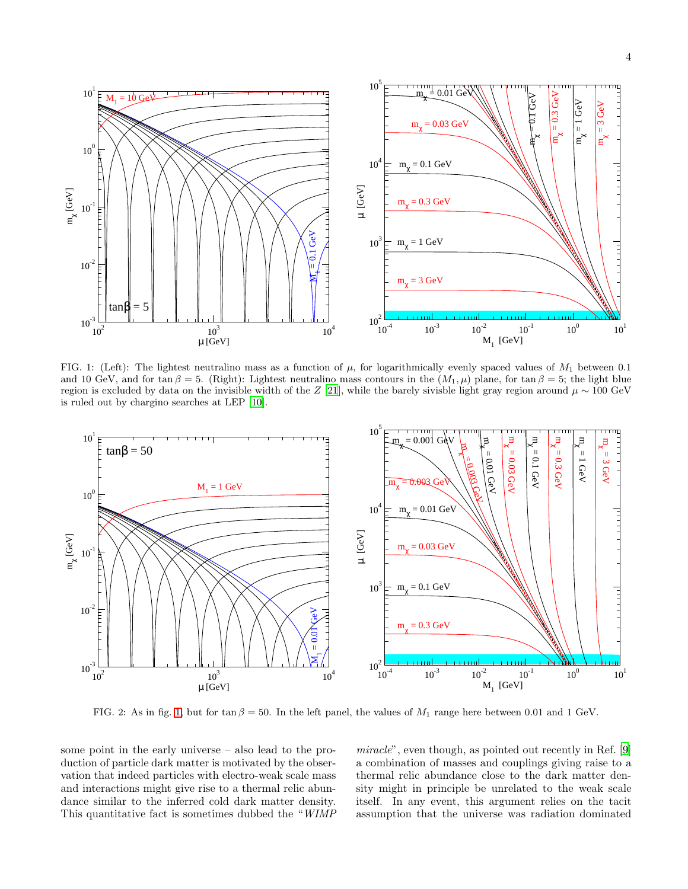

<span id="page-3-0"></span>FIG. 1: (Left): The lightest neutralino mass as a function of  $\mu$ , for logarithmically evenly spaced values of  $M_1$  between 0.1 and 10 GeV, and for tan  $\beta = 5$ . (Right): Lightest neutralino mass contours in the  $(M_1, \mu)$  plane, for tan  $\beta = 5$ ; the light blue region is excluded by data on the invisible width of the Z [\[21\]](#page-12-21), while the barely sivisble light gray region around  $\mu \sim 100 \text{ GeV}$ is ruled out by chargino searches at LEP [\[10](#page-12-9)].



<span id="page-3-1"></span>FIG. 2: As in fig. [1,](#page-3-0) but for  $\tan \beta = 50$ . In the left panel, the values of  $M_1$  range here between 0.01 and 1 GeV.

some point in the early universe – also lead to the production of particle dark matter is motivated by the observation that indeed particles with electro-weak scale mass and interactions might give rise to a thermal relic abundance similar to the inferred cold dark matter density. This quantitative fact is sometimes dubbed the "WIMP

miracle", even though, as pointed out recently in Ref. [\[9](#page-12-8)] a combination of masses and couplings giving raise to a thermal relic abundance close to the dark matter density might in principle be unrelated to the weak scale itself. In any event, this argument relies on the tacit assumption that the universe was radiation dominated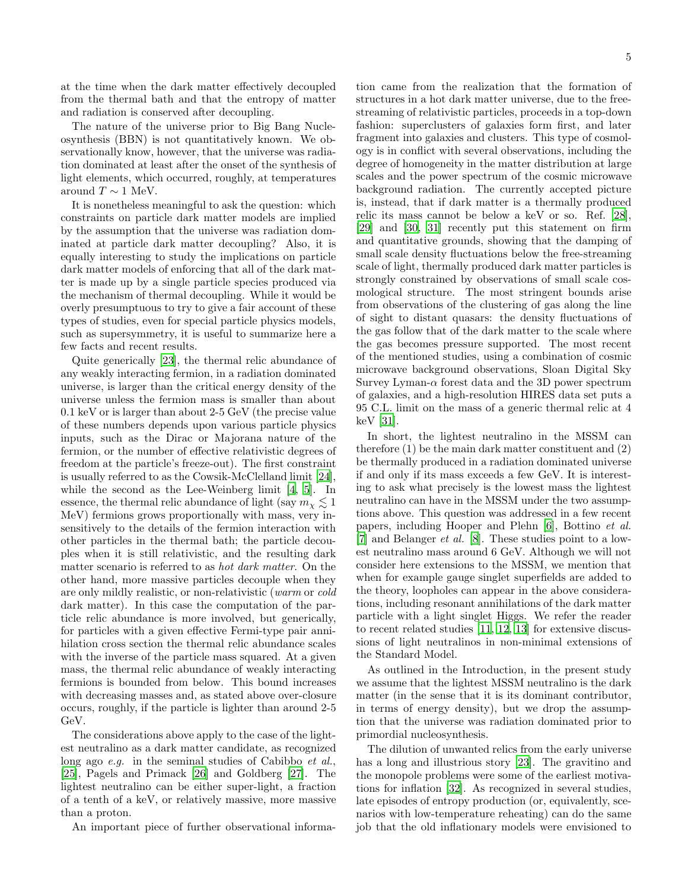at the time when the dark matter effectively decoupled from the thermal bath and that the entropy of matter and radiation is conserved after decoupling.

The nature of the universe prior to Big Bang Nucleosynthesis (BBN) is not quantitatively known. We observationally know, however, that the universe was radiation dominated at least after the onset of the synthesis of light elements, which occurred, roughly, at temperatures around  $T \sim 1$  MeV.

It is nonetheless meaningful to ask the question: which constraints on particle dark matter models are implied by the assumption that the universe was radiation dominated at particle dark matter decoupling? Also, it is equally interesting to study the implications on particle dark matter models of enforcing that all of the dark matter is made up by a single particle species produced via the mechanism of thermal decoupling. While it would be overly presumptuous to try to give a fair account of these types of studies, even for special particle physics models, such as supersymmetry, it is useful to summarize here a few facts and recent results.

Quite generically [\[23\]](#page-12-22), the thermal relic abundance of any weakly interacting fermion, in a radiation dominated universe, is larger than the critical energy density of the universe unless the fermion mass is smaller than about 0.1 keV or is larger than about 2-5 GeV (the precise value of these numbers depends upon various particle physics inputs, such as the Dirac or Majorana nature of the fermion, or the number of effective relativistic degrees of freedom at the particle's freeze-out). The first constraint is usually referred to as the Cowsik-McClelland limit [\[24\]](#page-12-23), while the second as the Lee-Weinberg limit [\[4,](#page-12-3) [5\]](#page-12-4). In essence, the thermal relic abundance of light (say  $m_{\chi} \lesssim 1$ ) MeV) fermions grows proportionally with mass, very insensitively to the details of the fermion interaction with other particles in the thermal bath; the particle decouples when it is still relativistic, and the resulting dark matter scenario is referred to as hot dark matter. On the other hand, more massive particles decouple when they are only mildly realistic, or non-relativistic (warm or cold dark matter). In this case the computation of the particle relic abundance is more involved, but generically, for particles with a given effective Fermi-type pair annihilation cross section the thermal relic abundance scales with the inverse of the particle mass squared. At a given mass, the thermal relic abundance of weakly interacting fermions is bounded from below. This bound increases with decreasing masses and, as stated above over-closure occurs, roughly, if the particle is lighter than around 2-5 GeV.

The considerations above apply to the case of the lightest neutralino as a dark matter candidate, as recognized long ago e.g. in the seminal studies of Cabibbo et al., [\[25\]](#page-12-24), Pagels and Primack [\[26](#page-12-25)] and Goldberg [\[27\]](#page-12-26). The lightest neutralino can be either super-light, a fraction of a tenth of a keV, or relatively massive, more massive than a proton.

An important piece of further observational informa-

tion came from the realization that the formation of structures in a hot dark matter universe, due to the freestreaming of relativistic particles, proceeds in a top-down fashion: superclusters of galaxies form first, and later fragment into galaxies and clusters. This type of cosmology is in conflict with several observations, including the degree of homogeneity in the matter distribution at large scales and the power spectrum of the cosmic microwave background radiation. The currently accepted picture is, instead, that if dark matter is a thermally produced relic its mass cannot be below a keV or so. Ref. [\[28\]](#page-12-27), [\[29\]](#page-12-28) and [\[30,](#page-12-29) [31\]](#page-12-30) recently put this statement on firm and quantitative grounds, showing that the damping of small scale density fluctuations below the free-streaming scale of light, thermally produced dark matter particles is strongly constrained by observations of small scale cosmological structure. The most stringent bounds arise from observations of the clustering of gas along the line of sight to distant quasars: the density fluctuations of the gas follow that of the dark matter to the scale where the gas becomes pressure supported. The most recent of the mentioned studies, using a combination of cosmic microwave background observations, Sloan Digital Sky Survey Lyman- $\alpha$  forest data and the 3D power spectrum of galaxies, and a high-resolution HIRES data set puts a 95 C.L. limit on the mass of a generic thermal relic at 4 keV [\[31\]](#page-12-30).

In short, the lightest neutralino in the MSSM can therefore (1) be the main dark matter constituent and (2) be thermally produced in a radiation dominated universe if and only if its mass exceeds a few GeV. It is interesting to ask what precisely is the lowest mass the lightest neutralino can have in the MSSM under the two assumptions above. This question was addressed in a few recent papers, including Hooper and Plehn [\[6](#page-12-5)], Bottino et al. [\[7\]](#page-12-6) and Belanger et al. [\[8\]](#page-12-7). These studies point to a lowest neutralino mass around 6 GeV. Although we will not consider here extensions to the MSSM, we mention that when for example gauge singlet superfields are added to the theory, loopholes can appear in the above considerations, including resonant annihilations of the dark matter particle with a light singlet Higgs. We refer the reader to recent related studies [\[11](#page-12-10), [12](#page-12-11), [13\]](#page-12-12) for extensive discussions of light neutralinos in non-minimal extensions of the Standard Model.

As outlined in the Introduction, in the present study we assume that the lightest MSSM neutralino is the dark matter (in the sense that it is its dominant contributor, in terms of energy density), but we drop the assumption that the universe was radiation dominated prior to primordial nucleosynthesis.

The dilution of unwanted relics from the early universe has a long and illustrious story [\[23\]](#page-12-22). The gravitino and the monopole problems were some of the earliest motivations for inflation [\[32\]](#page-12-31). As recognized in several studies, late episodes of entropy production (or, equivalently, scenarios with low-temperature reheating) can do the same job that the old inflationary models were envisioned to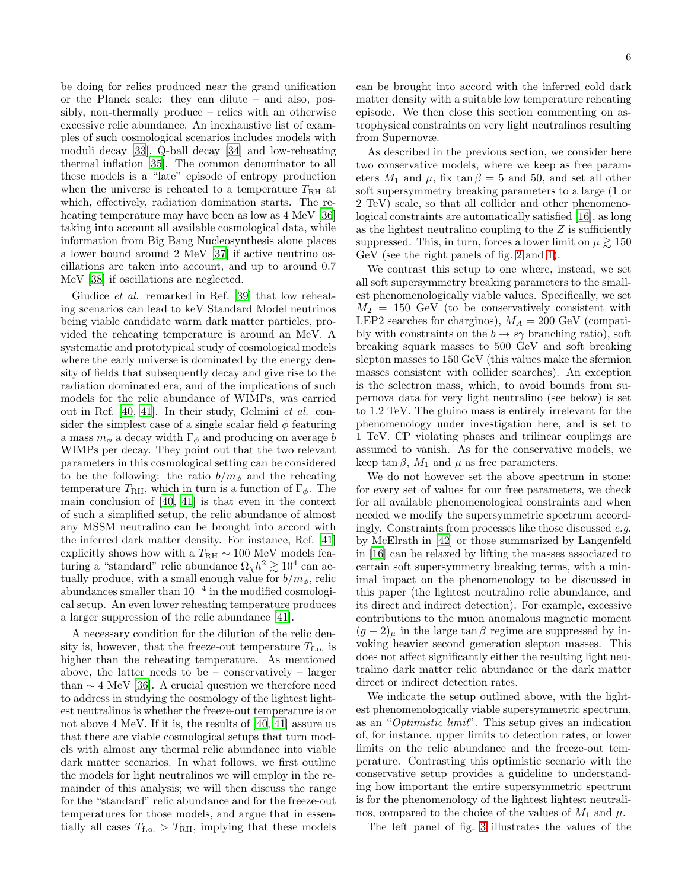be doing for relics produced near the grand unification or the Planck scale: they can dilute – and also, possibly, non-thermally produce – relics with an otherwise excessive relic abundance. An inexhaustive list of examples of such cosmological scenarios includes models with moduli decay [\[33\]](#page-12-32), Q-ball decay [\[34](#page-12-33)] and low-reheating thermal inflation [\[35](#page-12-34)]. The common denominator to all these models is a "late" episode of entropy production when the universe is reheated to a temperature  $T_{\rm RH}$  at which, effectively, radiation domination starts. The reheating temperature may have been as low as 4 MeV [\[36](#page-12-35)] taking into account all available cosmological data, while information from Big Bang Nucleosynthesis alone places a lower bound around 2 MeV [\[37](#page-12-36)] if active neutrino oscillations are taken into account, and up to around 0.7 MeV [\[38](#page-12-37)] if oscillations are neglected.

Giudice et al. remarked in Ref. [\[39](#page-12-38)] that low reheating scenarios can lead to keV Standard Model neutrinos being viable candidate warm dark matter particles, provided the reheating temperature is around an MeV. A systematic and prototypical study of cosmological models where the early universe is dominated by the energy density of fields that subsequently decay and give rise to the radiation dominated era, and of the implications of such models for the relic abundance of WIMPs, was carried out in Ref. [\[40,](#page-12-39) [41](#page-12-40)]. In their study, Gelmini et al. consider the simplest case of a single scalar field  $\phi$  featuring a mass  $m_{\phi}$  a decay width  $\Gamma_{\phi}$  and producing on average b WIMPs per decay. They point out that the two relevant parameters in this cosmological setting can be considered to be the following: the ratio  $b/m_{\phi}$  and the reheating temperature  $T_{\rm RH}$ , which in turn is a function of  $\Gamma_{\phi}$ . The main conclusion of [\[40](#page-12-39), [41\]](#page-12-40) is that even in the context of such a simplified setup, the relic abundance of almost any MSSM neutralino can be brought into accord with the inferred dark matter density. For instance, Ref. [\[41](#page-12-40)] explicitly shows how with a  $T_{\rm RH} \sim 100$  MeV models featuring a "standard" relic abundance  $\Omega_{\chi} h^2 \gtrsim 10^4$  can actually produce, with a small enough value for  $b/m_\phi$ , relic abundances smaller than  $10^{-4}$  in the modified cosmological setup. An even lower reheating temperature produces a larger suppression of the relic abundance [\[41\]](#page-12-40).

A necessary condition for the dilution of the relic density is, however, that the freeze-out temperature  $T_{\text{f.o.}}$  is higher than the reheating temperature. As mentioned above, the latter needs to be – conservatively – larger than  $\sim$  4 MeV [\[36](#page-12-35)]. A crucial question we therefore need to address in studying the cosmology of the lightest lightest neutralinos is whether the freeze-out temperature is or not above 4 MeV. If it is, the results of [\[40](#page-12-39), [41](#page-12-40)] assure us that there are viable cosmological setups that turn models with almost any thermal relic abundance into viable dark matter scenarios. In what follows, we first outline the models for light neutralinos we will employ in the remainder of this analysis; we will then discuss the range for the "standard" relic abundance and for the freeze-out temperatures for those models, and argue that in essentially all cases  $T_{f.o.} > T_{\text{RH}}$ , implying that these models

can be brought into accord with the inferred cold dark matter density with a suitable low temperature reheating episode. We then close this section commenting on astrophysical constraints on very light neutralinos resulting from Supernovæ.

As described in the previous section, we consider here two conservative models, where we keep as free parameters  $M_1$  and  $\mu$ , fix tan  $\beta = 5$  and 50, and set all other soft supersymmetry breaking parameters to a large (1 or 2 TeV) scale, so that all collider and other phenomenological constraints are automatically satisfied [\[16\]](#page-12-15), as long as the lightest neutralino coupling to the  $Z$  is sufficiently suppressed. This, in turn, forces a lower limit on  $\mu \gtrsim 150$ GeV (see the right panels of fig. [2](#page-3-1) and [1\)](#page-3-0).

We contrast this setup to one where, instead, we set all soft supersymmetry breaking parameters to the smallest phenomenologically viable values. Specifically, we set  $M_2 = 150$  GeV (to be conservatively consistent with LEP2 searches for charginos),  $M_A = 200$  GeV (compatibly with constraints on the  $b \to s\gamma$  branching ratio), soft breaking squark masses to 500 GeV and soft breaking slepton masses to 150 GeV (this values make the sfermion masses consistent with collider searches). An exception is the selectron mass, which, to avoid bounds from supernova data for very light neutralino (see below) is set to 1.2 TeV. The gluino mass is entirely irrelevant for the phenomenology under investigation here, and is set to 1 TeV. CP violating phases and trilinear couplings are assumed to vanish. As for the conservative models, we keep tan  $\beta$ ,  $M_1$  and  $\mu$  as free parameters.

We do not however set the above spectrum in stone: for every set of values for our free parameters, we check for all available phenomenological constraints and when needed we modify the supersymmetric spectrum accordingly. Constraints from processes like those discussed e.g. by McElrath in [\[42](#page-12-41)] or those summarized by Langenfeld in [\[16](#page-12-15)] can be relaxed by lifting the masses associated to certain soft supersymmetry breaking terms, with a minimal impact on the phenomenology to be discussed in this paper (the lightest neutralino relic abundance, and its direct and indirect detection). For example, excessive contributions to the muon anomalous magnetic moment  $(g-2)_{\mu}$  in the large tan  $\beta$  regime are suppressed by invoking heavier second generation slepton masses. This does not affect significantly either the resulting light neutralino dark matter relic abundance or the dark matter direct or indirect detection rates.

We indicate the setup outlined above, with the lightest phenomenologically viable supersymmetric spectrum, as an "Optimistic limit". This setup gives an indication of, for instance, upper limits to detection rates, or lower limits on the relic abundance and the freeze-out temperature. Contrasting this optimistic scenario with the conservative setup provides a guideline to understanding how important the entire supersymmetric spectrum is for the phenomenology of the lightest lightest neutralinos, compared to the choice of the values of  $M_1$  and  $\mu$ .

The left panel of fig. [3](#page-6-0) illustrates the values of the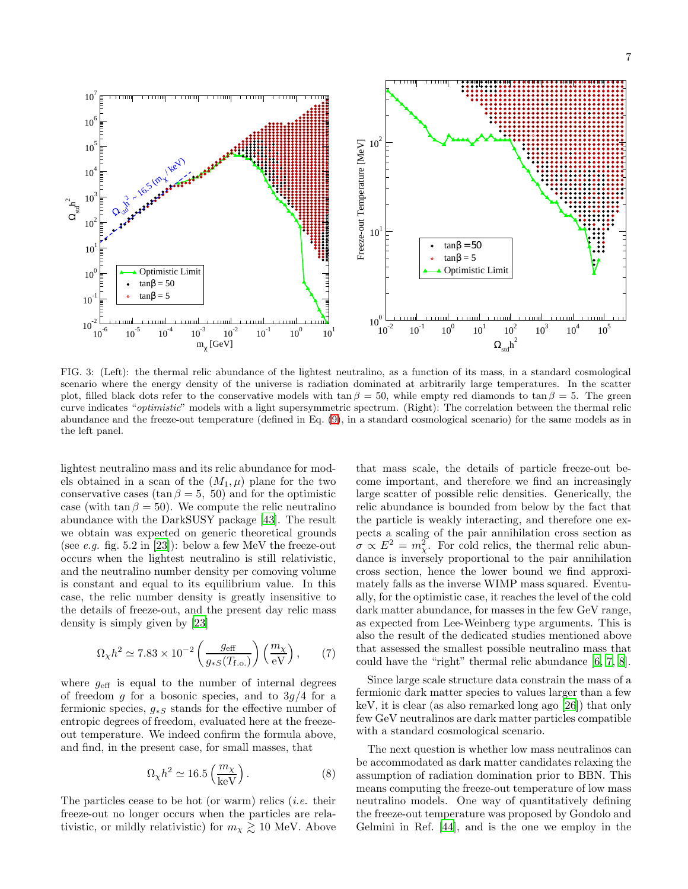

<span id="page-6-0"></span>FIG. 3: (Left): the thermal relic abundance of the lightest neutralino, as a function of its mass, in a standard cosmological scenario where the energy density of the universe is radiation dominated at arbitrarily large temperatures. In the scatter plot, filled black dots refer to the conservative models with tan  $\beta = 50$ , while empty red diamonds to tan  $\beta = 5$ . The green curve indicates "optimistic" models with a light supersymmetric spectrum. (Right): The correlation between the thermal relic abundance and the freeze-out temperature (defined in Eq. [\(9\)](#page-7-1), in a standard cosmological scenario) for the same models as in the left panel.

lightest neutralino mass and its relic abundance for models obtained in a scan of the  $(M_1, \mu)$  plane for the two conservative cases (tan  $\beta = 5$ , 50) and for the optimistic case (with tan  $\beta = 50$ ). We compute the relic neutralino abundance with the DarkSUSY package [\[43](#page-12-42)]. The result we obtain was expected on generic theoretical grounds (see e.g. fig. 5.2 in [\[23](#page-12-22)]): below a few MeV the freeze-out occurs when the lightest neutralino is still relativistic, and the neutralino number density per comoving volume is constant and equal to its equilibrium value. In this case, the relic number density is greatly insensitive to the details of freeze-out, and the present day relic mass density is simply given by [\[23\]](#page-12-22)

$$
\Omega_{\chi} h^2 \simeq 7.83 \times 10^{-2} \left( \frac{g_{\text{eff}}}{g_{*S}(T_{\text{f.o.}})} \right) \left( \frac{m_{\chi}}{\text{eV}} \right), \tag{7}
$$

where  $g_{\text{eff}}$  is equal to the number of internal degrees of freedom g for a bosonic species, and to  $3g/4$  for a fermionic species,  $g_{*S}$  stands for the effective number of entropic degrees of freedom, evaluated here at the freezeout temperature. We indeed confirm the formula above, and find, in the present case, for small masses, that

$$
\Omega_{\chi} h^2 \simeq 16.5 \left( \frac{m_{\chi}}{\text{keV}} \right). \tag{8}
$$

The particles cease to be hot (or warm) relics  $(i.e.$  their freeze-out no longer occurs when the particles are relativistic, or mildly relativistic) for  $m_{\chi} \gtrsim 10$  MeV. Above

that mass scale, the details of particle freeze-out become important, and therefore we find an increasingly large scatter of possible relic densities. Generically, the relic abundance is bounded from below by the fact that the particle is weakly interacting, and therefore one expects a scaling of the pair annihilation cross section as  $\sigma \propto E^2 = m_{\chi}^2$ . For cold relics, the thermal relic abundance is inversely proportional to the pair annihilation cross section, hence the lower bound we find approximately falls as the inverse WIMP mass squared. Eventually, for the optimistic case, it reaches the level of the cold dark matter abundance, for masses in the few GeV range, as expected from Lee-Weinberg type arguments. This is also the result of the dedicated studies mentioned above that assessed the smallest possible neutralino mass that could have the "right" thermal relic abundance [\[6](#page-12-5), [7](#page-12-6), [8](#page-12-7)].

Since large scale structure data constrain the mass of a fermionic dark matter species to values larger than a few keV, it is clear (as also remarked long ago [\[26\]](#page-12-25)) that only few GeV neutralinos are dark matter particles compatible with a standard cosmological scenario.

The next question is whether low mass neutralinos can be accommodated as dark matter candidates relaxing the assumption of radiation domination prior to BBN. This means computing the freeze-out temperature of low mass neutralino models. One way of quantitatively defining the freeze-out temperature was proposed by Gondolo and Gelmini in Ref. [\[44\]](#page-12-43), and is the one we employ in the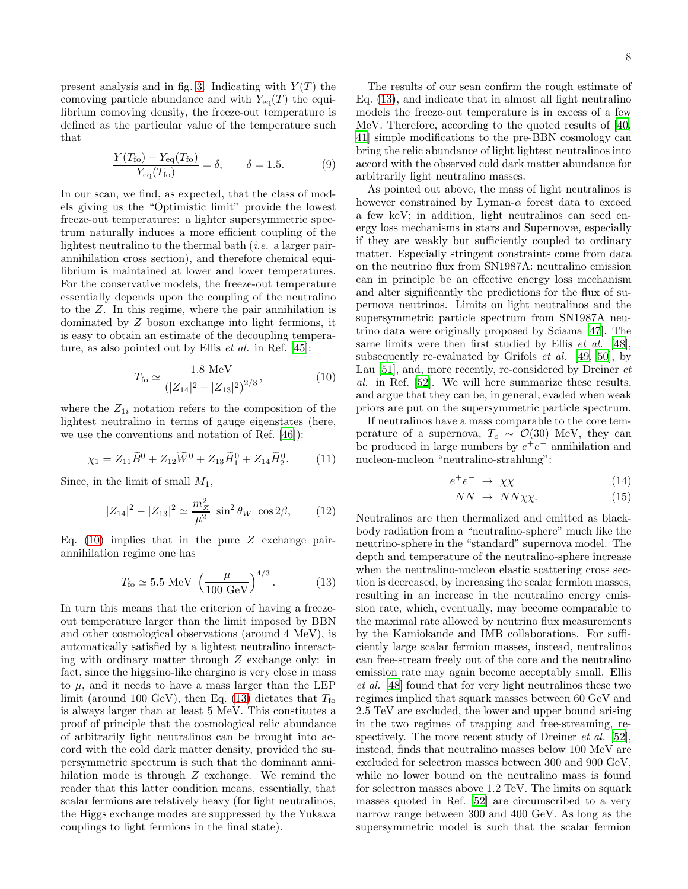present analysis and in fig. [3.](#page-6-0) Indicating with  $Y(T)$  the comoving particle abundance and with  $Y_{eq}(T)$  the equilibrium comoving density, the freeze-out temperature is defined as the particular value of the temperature such that

<span id="page-7-1"></span>
$$
\frac{Y(T_{\text{fo}}) - Y_{\text{eq}}(T_{\text{fo}})}{Y_{\text{eq}}(T_{\text{fo}})} = \delta, \qquad \delta = 1.5. \tag{9}
$$

In our scan, we find, as expected, that the class of models giving us the "Optimistic limit" provide the lowest freeze-out temperatures: a lighter supersymmetric spectrum naturally induces a more efficient coupling of the lightest neutralino to the thermal bath (i.e. a larger pairannihilation cross section), and therefore chemical equilibrium is maintained at lower and lower temperatures. For the conservative models, the freeze-out temperature essentially depends upon the coupling of the neutralino to the Z. In this regime, where the pair annihilation is dominated by Z boson exchange into light fermions, it is easy to obtain an estimate of the decoupling temperature, as also pointed out by Ellis et al. in Ref. [\[45\]](#page-12-44):

<span id="page-7-2"></span>
$$
T_{\text{fo}} \simeq \frac{1.8 \text{ MeV}}{\left(|Z_{14}|^2 - |Z_{13}|^2\right)^{2/3}},\tag{10}
$$

where the  $Z_{1i}$  notation refers to the composition of the lightest neutralino in terms of gauge eigenstates (here, we use the conventions and notation of Ref. [\[46\]](#page-13-0)):

<span id="page-7-0"></span>
$$
\chi_1 = Z_{11}\widetilde{B}^0 + Z_{12}\widetilde{W}^0 + Z_{13}\widetilde{H}_1^0 + Z_{14}\widetilde{H}_2^0. \tag{11}
$$

Since, in the limit of small  $M_1$ ,

$$
|Z_{14}|^2 - |Z_{13}|^2 \simeq \frac{m_Z^2}{\mu^2} \sin^2 \theta_W \cos 2\beta, \qquad (12)
$$

Eq.  $(10)$  implies that in the pure Z exchange pairannihilation regime one has

<span id="page-7-3"></span>
$$
T_{\text{fo}} \simeq 5.5 \text{ MeV} \left(\frac{\mu}{100 \text{ GeV}}\right)^{4/3}.
$$
 (13)

In turn this means that the criterion of having a freezeout temperature larger than the limit imposed by BBN and other cosmological observations (around 4 MeV), is automatically satisfied by a lightest neutralino interacting with ordinary matter through Z exchange only: in fact, since the higgsino-like chargino is very close in mass to  $\mu$ , and it needs to have a mass larger than the LEP limit (around 100 GeV), then Eq. [\(13\)](#page-7-3) dictates that  $T_{\text{fo}}$ is always larger than at least 5 MeV. This constitutes a proof of principle that the cosmological relic abundance of arbitrarily light neutralinos can be brought into accord with the cold dark matter density, provided the supersymmetric spectrum is such that the dominant annihilation mode is through Z exchange. We remind the reader that this latter condition means, essentially, that scalar fermions are relatively heavy (for light neutralinos, the Higgs exchange modes are suppressed by the Yukawa couplings to light fermions in the final state).

The results of our scan confirm the rough estimate of Eq. [\(13\)](#page-7-3), and indicate that in almost all light neutralino models the freeze-out temperature is in excess of a few MeV. Therefore, according to the quoted results of [\[40](#page-12-39), [41](#page-12-40)] simple modifications to the pre-BBN cosmology can bring the relic abundance of light lightest neutralinos into accord with the observed cold dark matter abundance for arbitrarily light neutralino masses.

As pointed out above, the mass of light neutralinos is however constrained by Lyman- $\alpha$  forest data to exceed a few keV; in addition, light neutralinos can seed energy loss mechanisms in stars and Supernovæ, especially if they are weakly but sufficiently coupled to ordinary matter. Especially stringent constraints come from data on the neutrino flux from SN1987A: neutralino emission can in principle be an effective energy loss mechanism and alter significantly the predictions for the flux of supernova neutrinos. Limits on light neutralinos and the supersymmetric particle spectrum from SN1987A neutrino data were originally proposed by Sciama [\[47\]](#page-13-1). The same limits were then first studied by Ellis *et al.* [\[48\]](#page-13-2), subsequently re-evaluated by Grifols et al. [\[49,](#page-13-3) [50\]](#page-13-4), by Lau [\[51\]](#page-13-5), and, more recently, re-considered by Dreiner et al. in Ref. [\[52\]](#page-13-6). We will here summarize these results, and argue that they can be, in general, evaded when weak priors are put on the supersymmetric particle spectrum.

If neutralinos have a mass comparable to the core temperature of a supernova,  $T_c \sim \mathcal{O}(30)$  MeV, they can be produced in large numbers by  $e^+e^-$  annihilation and nucleon-nucleon "neutralino-strahlung":

$$
e^+e^- \to \chi \chi \tag{14}
$$

$$
NN \rightarrow NN\chi\chi. \tag{15}
$$

Neutralinos are then thermalized and emitted as blackbody radiation from a "neutralino-sphere" much like the neutrino-sphere in the "standard" supernova model. The depth and temperature of the neutralino-sphere increase when the neutralino-nucleon elastic scattering cross section is decreased, by increasing the scalar fermion masses, resulting in an increase in the neutralino energy emission rate, which, eventually, may become comparable to the maximal rate allowed by neutrino flux measurements by the Kamiokande and IMB collaborations. For sufficiently large scalar fermion masses, instead, neutralinos can free-stream freely out of the core and the neutralino emission rate may again become acceptably small. Ellis et al. [\[48\]](#page-13-2) found that for very light neutralinos these two regimes implied that squark masses between 60 GeV and 2.5 TeV are excluded, the lower and upper bound arising in the two regimes of trapping and free-streaming, respectively. The more recent study of Dreiner *et al.* [\[52\]](#page-13-6), instead, finds that neutralino masses below 100 MeV are excluded for selectron masses between 300 and 900 GeV, while no lower bound on the neutralino mass is found for selectron masses above 1.2 TeV. The limits on squark masses quoted in Ref. [\[52\]](#page-13-6) are circumscribed to a very narrow range between 300 and 400 GeV. As long as the supersymmetric model is such that the scalar fermion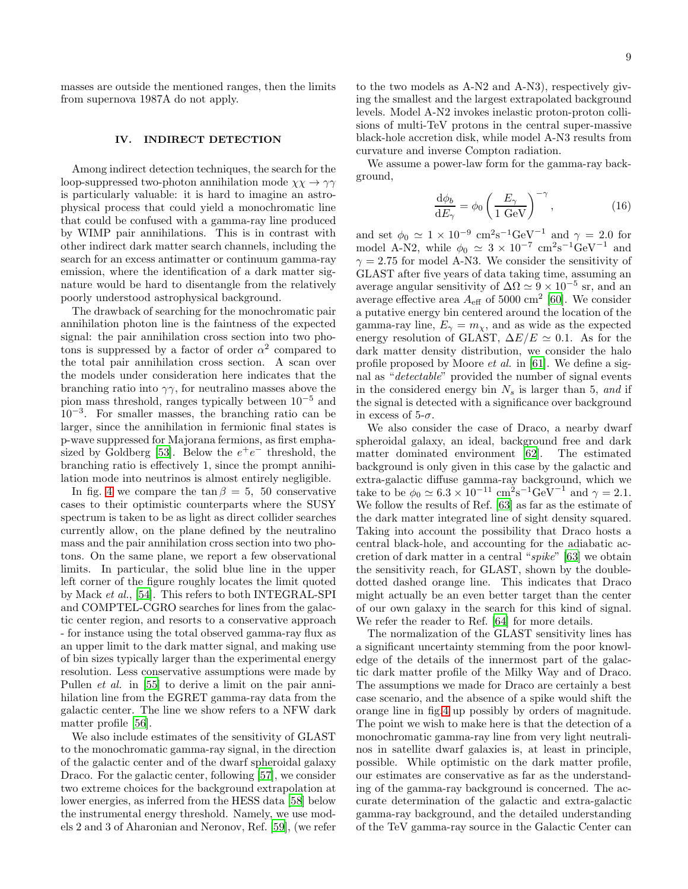masses are outside the mentioned ranges, then the limits from supernova 1987A do not apply.

#### <span id="page-8-0"></span>IV. INDIRECT DETECTION

Among indirect detection techniques, the search for the loop-suppressed two-photon annihilation mode  $\chi \chi \to \gamma \gamma$ is particularly valuable: it is hard to imagine an astrophysical process that could yield a monochromatic line that could be confused with a gamma-ray line produced by WIMP pair annihilations. This is in contrast with other indirect dark matter search channels, including the search for an excess antimatter or continuum gamma-ray emission, where the identification of a dark matter signature would be hard to disentangle from the relatively poorly understood astrophysical background.

The drawback of searching for the monochromatic pair annihilation photon line is the faintness of the expected signal: the pair annihilation cross section into two photons is suppressed by a factor of order  $\alpha^2$  compared to the total pair annihilation cross section. A scan over the models under consideration here indicates that the branching ratio into  $\gamma\gamma$ , for neutralino masses above the pion mass threshold, ranges typically between  $10^{-5}$  and 10<sup>−</sup><sup>3</sup> . For smaller masses, the branching ratio can be larger, since the annihilation in fermionic final states is p-wave suppressed for Majorana fermions, as first empha-sized by Goldberg [\[53\]](#page-13-7). Below the  $e^+e^-$  threshold, the branching ratio is effectively 1, since the prompt annihilation mode into neutrinos is almost entirely negligible.

In fig. [4](#page-9-1) we compare the tan  $\beta = 5$ , 50 conservative cases to their optimistic counterparts where the SUSY spectrum is taken to be as light as direct collider searches currently allow, on the plane defined by the neutralino mass and the pair annihilation cross section into two photons. On the same plane, we report a few observational limits. In particular, the solid blue line in the upper left corner of the figure roughly locates the limit quoted by Mack et al., [\[54](#page-13-8)]. This refers to both INTEGRAL-SPI and COMPTEL-CGRO searches for lines from the galactic center region, and resorts to a conservative approach - for instance using the total observed gamma-ray flux as an upper limit to the dark matter signal, and making use of bin sizes typically larger than the experimental energy resolution. Less conservative assumptions were made by Pullen *et al.* in [\[55](#page-13-9)] to derive a limit on the pair annihilation line from the EGRET gamma-ray data from the galactic center. The line we show refers to a NFW dark matter profile [\[56\]](#page-13-10).

We also include estimates of the sensitivity of GLAST to the monochromatic gamma-ray signal, in the direction of the galactic center and of the dwarf spheroidal galaxy Draco. For the galactic center, following [\[57\]](#page-13-11), we consider two extreme choices for the background extrapolation at lower energies, as inferred from the HESS data [\[58\]](#page-13-12) below the instrumental energy threshold. Namely, we use models 2 and 3 of Aharonian and Neronov, Ref. [\[59](#page-13-13)], (we refer

to the two models as A-N2 and A-N3), respectively giving the smallest and the largest extrapolated background levels. Model A-N2 invokes inelastic proton-proton collisions of multi-TeV protons in the central super-massive black-hole accretion disk, while model A-N3 results from curvature and inverse Compton radiation.

We assume a power-law form for the gamma-ray background,

$$
\frac{\mathrm{d}\phi_b}{\mathrm{d}E_\gamma} = \phi_0 \left(\frac{E_\gamma}{1 \text{ GeV}}\right)^{-\gamma},\tag{16}
$$

and set  $\phi_0 \simeq 1 \times 10^{-9} \text{ cm}^2 \text{s}^{-1} \text{GeV}^{-1}$  and  $\gamma = 2.0$  for model A-N2, while  $\phi_0 \simeq 3 \times 10^{-7} \text{ cm}^2 \text{s}^{-1} \text{GeV}^{-1}$  and  $\gamma = 2.75$  for model A-N3. We consider the sensitivity of GLAST after five years of data taking time, assuming an average angular sensitivity of  $\Delta\Omega \simeq 9 \times 10^{-5}$  sr, and an average effective area  $A_{\text{eff}}$  of 5000 cm<sup>2</sup> [\[60\]](#page-13-14). We consider a putative energy bin centered around the location of the gamma-ray line,  $E_\gamma = m_\chi,$  and as wide as the expected energy resolution of GLAST,  $\Delta E/E \simeq 0.1$ . As for the dark matter density distribution, we consider the halo profile proposed by Moore et al. in [\[61\]](#page-13-15). We define a signal as "detectable" provided the number of signal events in the considered energy bin  $N_s$  is larger than 5, and if the signal is detected with a significance over background in excess of  $5-\sigma$ .

We also consider the case of Draco, a nearby dwarf spheroidal galaxy, an ideal, background free and dark matter dominated environment [\[62\]](#page-13-16). The estimated background is only given in this case by the galactic and extra-galactic diffuse gamma-ray background, which we take to be  $\phi_0 \simeq 6.3 \times 10^{-11} \text{ cm}^2 \text{s}^{-1} \text{GeV}^{-1}$  and  $\gamma = 2.1$ . We follow the results of Ref. [\[63\]](#page-13-17) as far as the estimate of the dark matter integrated line of sight density squared. Taking into account the possibility that Draco hosts a central black-hole, and accounting for the adiabatic accretion of dark matter in a central "spike" [\[63\]](#page-13-17) we obtain the sensitivity reach, for GLAST, shown by the doubledotted dashed orange line. This indicates that Draco might actually be an even better target than the center of our own galaxy in the search for this kind of signal. We refer the reader to Ref. [\[64\]](#page-13-18) for more details.

The normalization of the GLAST sensitivity lines has a significant uncertainty stemming from the poor knowledge of the details of the innermost part of the galactic dark matter profile of the Milky Way and of Draco. The assumptions we made for Draco are certainly a best case scenario, and the absence of a spike would shift the orange line in fig[.4](#page-9-1) up possibly by orders of magnitude. The point we wish to make here is that the detection of a monochromatic gamma-ray line from very light neutralinos in satellite dwarf galaxies is, at least in principle, possible. While optimistic on the dark matter profile, our estimates are conservative as far as the understanding of the gamma-ray background is concerned. The accurate determination of the galactic and extra-galactic gamma-ray background, and the detailed understanding of the TeV gamma-ray source in the Galactic Center can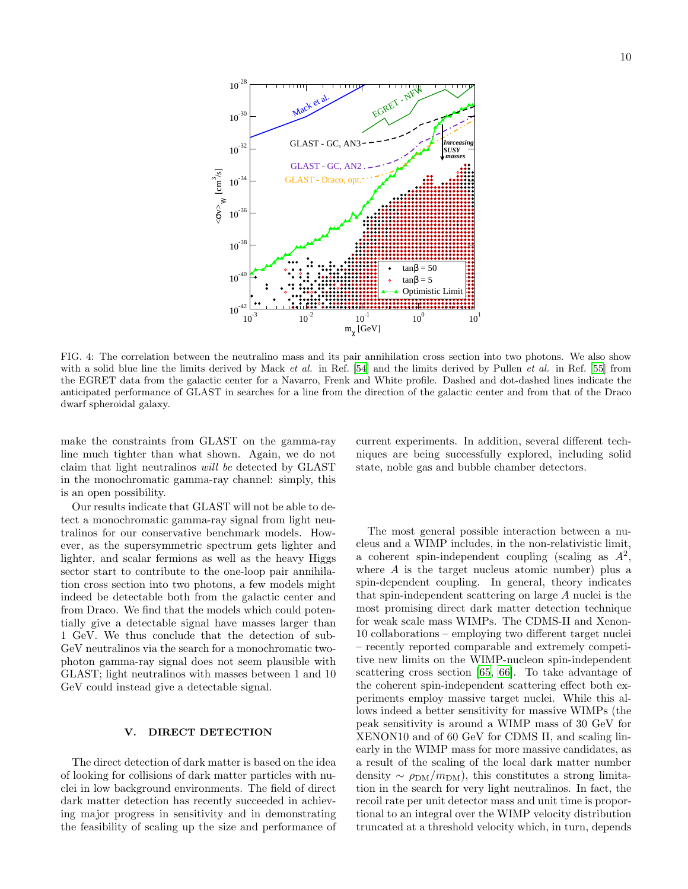$10^{-28}$ EGRET Mack et al.  $10^{-30}$  $10^{-32}$ GLAST - GC, AN3 *Inrceasing SUSY masses* GLAST - GC, AN2  $\mathbb{Z}_\varepsilon$  $10^{-34}$ GLAST - Draco, o  $\sum_{\substack{r}}$ <σv>  $10^{-36}$  $10^{-38}$  $tan\beta = 50$  $10^{-40}$  $tan\beta = 5$ Optimistic Limit  $. 0.000000$  $10^{-42}$  L<br> $10^{-42}$  $10^{-3}$   $10^{-2}$   $10^{-1}$   $10^{0}$  $10<sup>1</sup>$ m<sub>χ</sub> [GeV]

<span id="page-9-1"></span>FIG. 4: The correlation between the neutralino mass and its pair annihilation cross section into two photons. We also show with a solid blue line the limits derived by Mack et al. in Ref. [\[54](#page-13-8)] and the limits derived by Pullen et al. in Ref. [\[55](#page-13-9)] from the EGRET data from the galactic center for a Navarro, Frenk and White profile. Dashed and dot-dashed lines indicate the anticipated performance of GLAST in searches for a line from the direction of the galactic center and from that of the Draco dwarf spheroidal galaxy.

make the constraints from GLAST on the gamma-ray line much tighter than what shown. Again, we do not claim that light neutralinos will be detected by GLAST in the monochromatic gamma-ray channel: simply, this is an open possibility.

Our results indicate that GLAST will not be able to detect a monochromatic gamma-ray signal from light neutralinos for our conservative benchmark models. However, as the supersymmetric spectrum gets lighter and lighter, and scalar fermions as well as the heavy Higgs sector start to contribute to the one-loop pair annihilation cross section into two photons, a few models might indeed be detectable both from the galactic center and from Draco. We find that the models which could potentially give a detectable signal have masses larger than 1 GeV. We thus conclude that the detection of sub-GeV neutralinos via the search for a monochromatic twophoton gamma-ray signal does not seem plausible with GLAST; light neutralinos with masses between 1 and 10 GeV could instead give a detectable signal.

#### <span id="page-9-0"></span>V. DIRECT DETECTION

The direct detection of dark matter is based on the idea of looking for collisions of dark matter particles with nuclei in low background environments. The field of direct dark matter detection has recently succeeded in achieving major progress in sensitivity and in demonstrating the feasibility of scaling up the size and performance of

current experiments. In addition, several different techniques are being successfully explored, including solid state, noble gas and bubble chamber detectors.

The most general possible interaction between a nucleus and a WIMP includes, in the non-relativistic limit, a coherent spin-independent coupling (scaling as  $A^2$ , where A is the target nucleus atomic number) plus a spin-dependent coupling. In general, theory indicates that spin-independent scattering on large A nuclei is the most promising direct dark matter detection technique for weak scale mass WIMPs. The CDMS-II and Xenon-10 collaborations – employing two different target nuclei – recently reported comparable and extremely competitive new limits on the WIMP-nucleon spin-independent scattering cross section [\[65,](#page-13-19) [66](#page-13-20)]. To take advantage of the coherent spin-independent scattering effect both experiments employ massive target nuclei. While this allows indeed a better sensitivity for massive WIMPs (the peak sensitivity is around a WIMP mass of 30 GeV for XENON10 and of 60 GeV for CDMS II, and scaling linearly in the WIMP mass for more massive candidates, as a result of the scaling of the local dark matter number density  $\sim \rho_{\rm DM}/m_{\rm DM}$ , this constitutes a strong limitation in the search for very light neutralinos. In fact, the recoil rate per unit detector mass and unit time is proportional to an integral over the WIMP velocity distribution truncated at a threshold velocity which, in turn, depends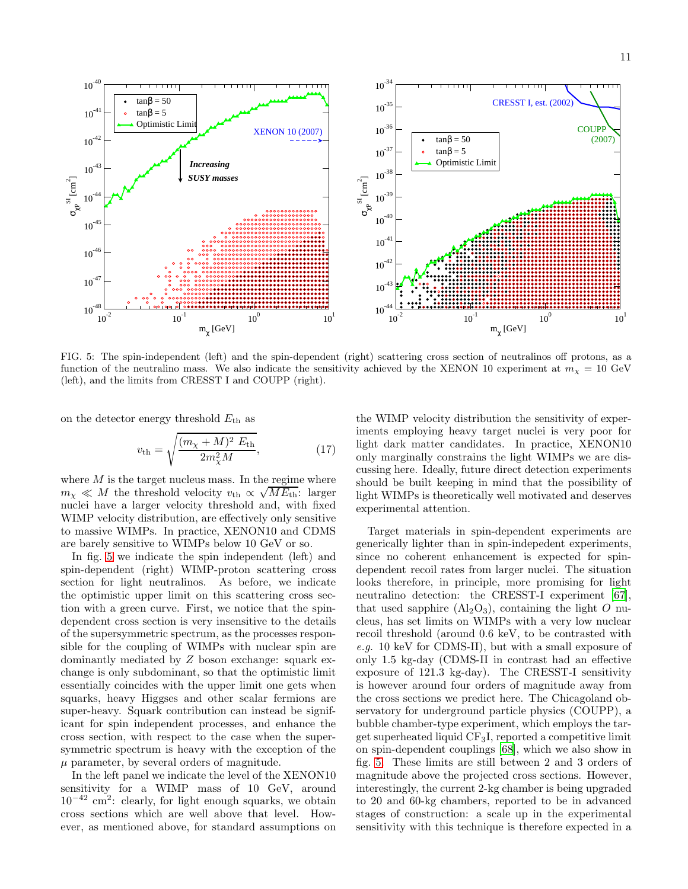

<span id="page-10-0"></span>FIG. 5: The spin-independent (left) and the spin-dependent (right) scattering cross section of neutralinos off protons, as a function of the neutralino mass. We also indicate the sensitivity achieved by the XENON 10 experiment at  $m<sub>x</sub> = 10$  GeV (left), and the limits from CRESST I and COUPP (right).

on the detector energy threshold  $E_{\text{th}}$  as

$$
v_{\rm th} = \sqrt{\frac{(m_X + M)^2 \ E_{\rm th}}{2m_X^2 M}},\tag{17}
$$

where  $M$  is the target nucleus mass. In the regime where  $m_\chi \ll M$  the threshold velocity  $v_{\text{th}} \propto \sqrt{ME_{\text{th}}}$ . larger nuclei have a larger velocity threshold and, with fixed WIMP velocity distribution, are effectively only sensitive to massive WIMPs. In practice, XENON10 and CDMS are barely sensitive to WIMPs below 10 GeV or so.

In fig. [5](#page-10-0) we indicate the spin independent (left) and spin-dependent (right) WIMP-proton scattering cross section for light neutralinos. As before, we indicate the optimistic upper limit on this scattering cross section with a green curve. First, we notice that the spindependent cross section is very insensitive to the details of the supersymmetric spectrum, as the processes responsible for the coupling of WIMPs with nuclear spin are dominantly mediated by Z boson exchange: squark exchange is only subdominant, so that the optimistic limit essentially coincides with the upper limit one gets when squarks, heavy Higgses and other scalar fermions are super-heavy. Squark contribution can instead be significant for spin independent processes, and enhance the cross section, with respect to the case when the supersymmetric spectrum is heavy with the exception of the  $\mu$  parameter, by several orders of magnitude.

In the left panel we indicate the level of the XENON10 sensitivity for a WIMP mass of 10 GeV, around 10<sup>−</sup><sup>42</sup> cm<sup>2</sup> : clearly, for light enough squarks, we obtain cross sections which are well above that level. However, as mentioned above, for standard assumptions on

the WIMP velocity distribution the sensitivity of experiments employing heavy target nuclei is very poor for light dark matter candidates. In practice, XENON10 only marginally constrains the light WIMPs we are discussing here. Ideally, future direct detection experiments should be built keeping in mind that the possibility of light WIMPs is theoretically well motivated and deserves experimental attention.

Target materials in spin-dependent experiments are generically lighter than in spin-indepedent experiments, since no coherent enhancement is expected for spindependent recoil rates from larger nuclei. The situation looks therefore, in principle, more promising for light neutralino detection: the CRESST-I experiment [\[67\]](#page-13-21), that used sapphire  $(Al_2O_3)$ , containing the light O nucleus, has set limits on WIMPs with a very low nuclear recoil threshold (around 0.6 keV, to be contrasted with e.g. 10 keV for CDMS-II), but with a small exposure of only 1.5 kg-day (CDMS-II in contrast had an effective exposure of 121.3 kg-day). The CRESST-I sensitivity is however around four orders of magnitude away from the cross sections we predict here. The Chicagoland observatory for underground particle physics (COUPP), a bubble chamber-type experiment, which employs the target superheated liquid CF3I, reported a competitive limit on spin-dependent couplings [\[68\]](#page-13-22), which we also show in fig. [5.](#page-10-0) These limits are still between 2 and 3 orders of magnitude above the projected cross sections. However, interestingly, the current 2-kg chamber is being upgraded to 20 and 60-kg chambers, reported to be in advanced stages of construction: a scale up in the experimental sensitivity with this technique is therefore expected in a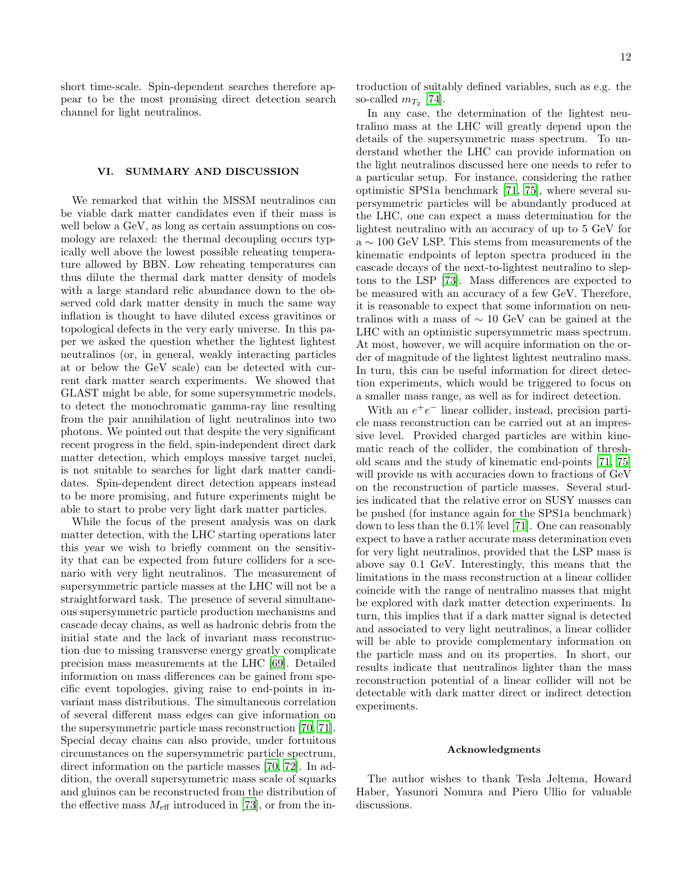short time-scale. Spin-dependent searches therefore appear to be the most promising direct detection search channel for light neutralinos.

#### VI. SUMMARY AND DISCUSSION

We remarked that within the MSSM neutralinos can be viable dark matter candidates even if their mass is well below a GeV, as long as certain assumptions on cosmology are relaxed: the thermal decoupling occurs typically well above the lowest possible reheating temperature allowed by BBN. Low reheating temperatures can thus dilute the thermal dark matter density of models with a large standard relic abundance down to the observed cold dark matter density in much the same way inflation is thought to have diluted excess gravitinos or topological defects in the very early universe. In this paper we asked the question whether the lightest lightest neutralinos (or, in general, weakly interacting particles at or below the GeV scale) can be detected with current dark matter search experiments. We showed that GLAST might be able, for some supersymmetric models, to detect the monochromatic gamma-ray line resulting from the pair annihilation of light neutralinos into two photons. We pointed out that despite the very significant recent progress in the field, spin-independent direct dark matter detection, which employs massive target nuclei, is not suitable to searches for light dark matter candidates. Spin-dependent direct detection appears instead to be more promising, and future experiments might be able to start to probe very light dark matter particles.

While the focus of the present analysis was on dark matter detection, with the LHC starting operations later this year we wish to briefly comment on the sensitivity that can be expected from future colliders for a scenario with very light neutralinos. The measurement of supersymmetric particle masses at the LHC will not be a straightforward task. The presence of several simultaneous supersymmetric particle production mechanisms and cascade decay chains, as well as hadronic debris from the initial state and the lack of invariant mass reconstruction due to missing transverse energy greatly complicate precision mass measurements at the LHC [\[69](#page-13-23)]. Detailed information on mass differences can be gained from specific event topologies, giving raise to end-points in invariant mass distributions. The simultaneous correlation of several different mass edges can give information on the supersymmetric particle mass reconstruction [\[70](#page-13-24), [71\]](#page-13-25). Special decay chains can also provide, under fortuitous circumstances on the supersymmetric particle spectrum, direct information on the particle masses [\[70](#page-13-24), [72](#page-13-26)]. In addition, the overall supersymmetric mass scale of squarks and gluinos can be reconstructed from the distribution of the effective mass  $M_{\text{eff}}$  introduced in [\[73\]](#page-13-27), or from the introduction of suitably defined variables, such as e.g. the so-called  $m_{T_2}$  [\[74](#page-13-28)].

In any case, the determination of the lightest neutralino mass at the LHC will greatly depend upon the details of the supersymmetric mass spectrum. To understand whether the LHC can provide information on the light neutralinos discussed here one needs to refer to a particular setup. For instance, considering the rather optimistic SPS1a benchmark [\[71](#page-13-25), [75](#page-13-29)], where several supersymmetric particles will be abundantly produced at the LHC, one can expect a mass determination for the lightest neutralino with an accuracy of up to 5 GeV for a ∼ 100 GeV LSP. This stems from measurements of the kinematic endpoints of lepton spectra produced in the cascade decays of the next-to-lightest neutralino to sleptons to the LSP [\[73\]](#page-13-27). Mass differences are expected to be measured with an accuracy of a few GeV. Therefore, it is reasonable to expect that some information on neutralinos with a mass of ∼ 10 GeV can be gained at the LHC with an optimistic supersymmetric mass spectrum. At most, however, we will acquire information on the order of magnitude of the lightest lightest neutralino mass. In turn, this can be useful information for direct detection experiments, which would be triggered to focus on a smaller mass range, as well as for indirect detection.

With an  $e^+e^-$  linear collider, instead, precision particle mass reconstruction can be carried out at an impressive level. Provided charged particles are within kinematic reach of the collider, the combination of threshold scans and the study of kinematic end-points [\[71](#page-13-25), [75](#page-13-29)] will provide us with accuracies down to fractions of GeV on the reconstruction of particle masses. Several studies indicated that the relative error on SUSY masses can be pushed (for instance again for the SPS1a benchmark) down to less than the 0.1% level [\[71](#page-13-25)]. One can reasonably expect to have a rather accurate mass determination even for very light neutralinos, provided that the LSP mass is above say 0.1 GeV. Interestingly, this means that the limitations in the mass reconstruction at a linear collider coincide with the range of neutralino masses that might be explored with dark matter detection experiments. In turn, this implies that if a dark matter signal is detected and associated to very light neutralinos, a linear collider will be able to provide complementary information on the particle mass and on its properties. In short, our results indicate that neutralinos lighter than the mass reconstruction potential of a linear collider will not be detectable with dark matter direct or indirect detection experiments.

#### Acknowledgments

The author wishes to thank Tesla Jeltema, Howard Haber, Yasunori Nomura and Piero Ullio for valuable discussions.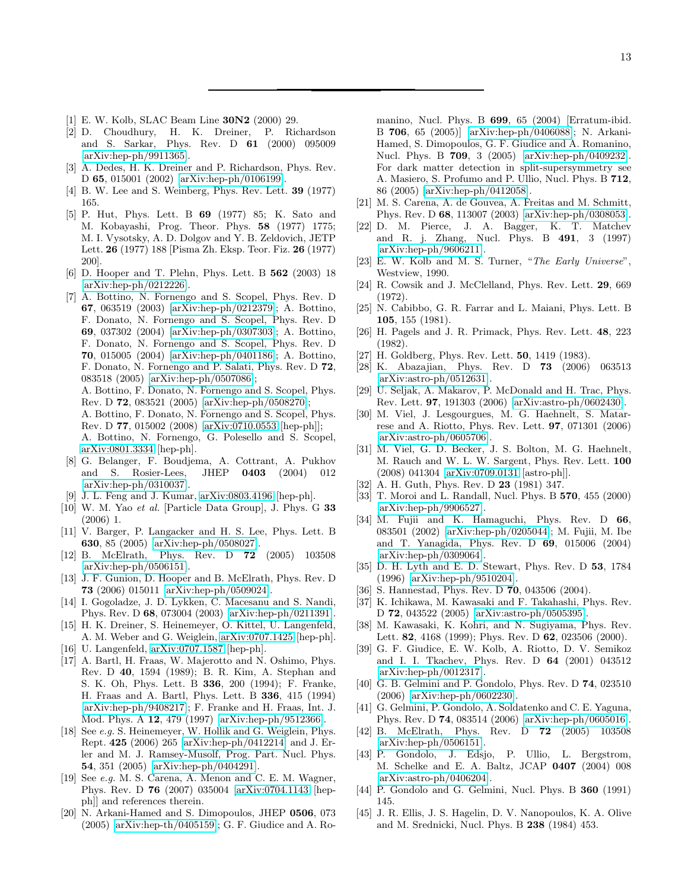- <span id="page-12-0"></span>[1] E. W. Kolb, SLAC Beam Line 30N2 (2000) 29.
- <span id="page-12-1"></span>[2] D. Choudhury, H. K. Dreiner, P. Richardson and S. Sarkar, Phys. Rev. D 61 (2000) 095009 [\[arXiv:hep-ph/9911365\]](http://arxiv.org/abs/hep-ph/9911365).
- <span id="page-12-2"></span>[3] A. Dedes, H. K. Dreiner and P. Richardson, Phys. Rev. D 65, 015001 (2002) [\[arXiv:hep-ph/0106199\]](http://arxiv.org/abs/hep-ph/0106199).
- <span id="page-12-3"></span>[4] B. W. Lee and S. Weinberg, Phys. Rev. Lett. 39 (1977) 165.
- <span id="page-12-4"></span>[5] P. Hut, Phys. Lett. B 69 (1977) 85; K. Sato and M. Kobayashi, Prog. Theor. Phys. 58 (1977) 1775; M. I. Vysotsky, A. D. Dolgov and Y. B. Zeldovich, JETP Lett. 26 (1977) 188 [Pisma Zh. Eksp. Teor. Fiz. 26 (1977) 200].
- <span id="page-12-5"></span>[6] D. Hooper and T. Plehn, Phys. Lett. B 562 (2003) 18 [\[arXiv:hep-ph/0212226\]](http://arxiv.org/abs/hep-ph/0212226).
- <span id="page-12-6"></span>[7] A. Bottino, N. Fornengo and S. Scopel, Phys. Rev. D 67, 063519 (2003) [\[arXiv:hep-ph/0212379\]](http://arxiv.org/abs/hep-ph/0212379); A. Bottino, F. Donato, N. Fornengo and S. Scopel, Phys. Rev. D 69, 037302 (2004) [\[arXiv:hep-ph/0307303\]](http://arxiv.org/abs/hep-ph/0307303); A. Bottino, F. Donato, N. Fornengo and S. Scopel, Phys. Rev. D 70, 015005 (2004) [\[arXiv:hep-ph/0401186\]](http://arxiv.org/abs/hep-ph/0401186); A. Bottino, F. Donato, N. Fornengo and P. Salati, Phys. Rev. D 72, 083518 (2005) [\[arXiv:hep-ph/0507086\]](http://arxiv.org/abs/hep-ph/0507086); A. Bottino, F. Donato, N. Fornengo and S. Scopel, Phys. Rev. D 72, 083521 (2005) [\[arXiv:hep-ph/0508270\]](http://arxiv.org/abs/hep-ph/0508270); A. Bottino, F. Donato, N. Fornengo and S. Scopel, Phys.
	- Rev. D 77, 015002 (2008) [\[arXiv:0710.0553](http://arxiv.org/abs/0710.0553) [hep-ph]]; A. Bottino, N. Fornengo, G. Polesello and S. Scopel, [arXiv:0801.3334](http://arxiv.org/abs/0801.3334) [hep-ph].
- <span id="page-12-7"></span>[8] G. Belanger, F. Boudjema, A. Cottrant, A. Pukhov and S. Rosier-Lees, JHEP  $0403$  (2004) 012 and S. Rosier-Lees, JHEP 0403 (2004) 012 [\[arXiv:hep-ph/0310037\]](http://arxiv.org/abs/hep-ph/0310037).
- <span id="page-12-8"></span>[9] J. L. Feng and J. Kumar, [arXiv:0803.4196](http://arxiv.org/abs/0803.4196) [hep-ph].
- <span id="page-12-9"></span>[10] W. M. Yao et al. [Particle Data Group], J. Phys. G 33 (2006) 1.
- <span id="page-12-10"></span>[11] V. Barger, P. Langacker and H. S. Lee, Phys. Lett. B 630, 85 (2005) [\[arXiv:hep-ph/0508027\]](http://arxiv.org/abs/hep-ph/0508027).
- <span id="page-12-11"></span>[12] B. McElrath, Phys. Rev. D 72 (2005) 103508 [\[arXiv:hep-ph/0506151\]](http://arxiv.org/abs/hep-ph/0506151).
- <span id="page-12-12"></span>[13] J. F. Gunion, D. Hooper and B. McElrath, Phys. Rev. D 73 (2006) 015011 [\[arXiv:hep-ph/0509024\]](http://arxiv.org/abs/hep-ph/0509024).
- <span id="page-12-13"></span>[14] I. Gogoladze, J. D. Lykken, C. Macesanu and S. Nandi, Phys. Rev. D 68, 073004 (2003) [\[arXiv:hep-ph/0211391\]](http://arxiv.org/abs/hep-ph/0211391).
- <span id="page-12-14"></span>[15] H. K. Dreiner, S. Heinemeyer, O. Kittel, U. Langenfeld, A. M. Weber and G. Weiglein, [arXiv:0707.1425](http://arxiv.org/abs/0707.1425) [hep-ph].
- <span id="page-12-15"></span>[16] U. Langenfeld, [arXiv:0707.1587](http://arxiv.org/abs/0707.1587) [hep-ph].
- <span id="page-12-16"></span>[17] A. Bartl, H. Fraas, W. Majerotto and N. Oshimo, Phys. Rev. D 40, 1594 (1989); B. R. Kim, A. Stephan and S. K. Oh, Phys. Lett. B 336, 200 (1994); F. Franke, H. Fraas and A. Bartl, Phys. Lett. B 336, 415 (1994) [\[arXiv:hep-ph/9408217\]](http://arxiv.org/abs/hep-ph/9408217); F. Franke and H. Fraas, Int. J. Mod. Phys. A 12, 479 (1997) [\[arXiv:hep-ph/9512366\]](http://arxiv.org/abs/hep-ph/9512366).
- <span id="page-12-17"></span>[18] See e.g. S. Heinemeyer, W. Hollik and G. Weiglein, Phys. Rept. 425 (2006) 265 [\[arXiv:hep-ph/0412214\]](http://arxiv.org/abs/hep-ph/0412214) and J. Erler and M. J. Ramsey-Musolf, Prog. Part. Nucl. Phys. 54, 351 (2005) [\[arXiv:hep-ph/0404291\]](http://arxiv.org/abs/hep-ph/0404291).
- <span id="page-12-18"></span>[19] See e.g. M. S. Carena, A. Menon and C. E. M. Wagner, Phys. Rev. D 76 (2007) 035004 [\[arXiv:0704.1143](http://arxiv.org/abs/0704.1143) [hepph]] and references therein.
- <span id="page-12-19"></span>[20] N. Arkani-Hamed and S. Dimopoulos, JHEP 0506, 073 (2005) [\[arXiv:hep-th/0405159\]](http://arxiv.org/abs/hep-th/0405159); G. F. Giudice and A. Ro-

manino, Nucl. Phys. B 699, 65 (2004) [Erratum-ibid. B 706, 65 (2005)] [\[arXiv:hep-ph/0406088\]](http://arxiv.org/abs/hep-ph/0406088); N. Arkani-Hamed, S. Dimopoulos, G. F. Giudice and A. Romanino, Nucl. Phys. B 709, 3 (2005) [\[arXiv:hep-ph/0409232\]](http://arxiv.org/abs/hep-ph/0409232). For dark matter detection in split-supersymmetry see A. Masiero, S. Profumo and P. Ullio, Nucl. Phys. B 712, 86 (2005) [\[arXiv:hep-ph/0412058\]](http://arxiv.org/abs/hep-ph/0412058).

- <span id="page-12-21"></span>[21] M. S. Carena, A. de Gouvea, A. Freitas and M. Schmitt, Phys. Rev. D 68, 113007 (2003) [\[arXiv:hep-ph/0308053\]](http://arxiv.org/abs/hep-ph/0308053).
- <span id="page-12-20"></span>[22] D. M. Pierce, J. A. Bagger, K. T. Matchev and R. j. Zhang, Nucl. Phys. B 491, 3 (1997) [\[arXiv:hep-ph/9606211\]](http://arxiv.org/abs/hep-ph/9606211).
- <span id="page-12-22"></span>[23] E. W. Kolb and M. S. Turner, "The Early Universe", Westview, 1990.
- <span id="page-12-23"></span>[24] R. Cowsik and J. McClelland, Phys. Rev. Lett. 29, 669 (1972).
- <span id="page-12-24"></span>[25] N. Cabibbo, G. R. Farrar and L. Maiani, Phys. Lett. B 105, 155 (1981).
- <span id="page-12-25"></span>[26] H. Pagels and J. R. Primack, Phys. Rev. Lett. 48, 223 (1982).
- <span id="page-12-26"></span>[27] H. Goldberg, Phys. Rev. Lett. **50**, 1419 (1983).
- <span id="page-12-27"></span>[28] K. Abazajian, Phys. Rev. D 73 (2006) 063513 [\[arXiv:astro-ph/0512631\]](http://arxiv.org/abs/astro-ph/0512631).
- <span id="page-12-28"></span>[29] U. Seljak, A. Makarov, P. McDonald and H. Trac, Phys. Rev. Lett. 97, 191303 (2006) [\[arXiv:astro-ph/0602430\]](http://arxiv.org/abs/astro-ph/0602430).
- <span id="page-12-29"></span>[30] M. Viel, J. Lesgourgues, M. G. Haehnelt, S. Matarrese and A. Riotto, Phys. Rev. Lett. 97, 071301 (2006) [\[arXiv:astro-ph/0605706\]](http://arxiv.org/abs/astro-ph/0605706).
- <span id="page-12-30"></span>[31] M. Viel, G. D. Becker, J. S. Bolton, M. G. Haehnelt, M. Rauch and W. L. W. Sargent, Phys. Rev. Lett. 100 (2008) 041304 [\[arXiv:0709.0131](http://arxiv.org/abs/0709.0131) [astro-ph]].
- <span id="page-12-31"></span>[32] A. H. Guth, Phys. Rev. D 23 (1981) 347.
- <span id="page-12-32"></span>[33] T. Moroi and L. Randall, Nucl. Phys. B 570, 455 (2000) [\[arXiv:hep-ph/9906527\]](http://arxiv.org/abs/hep-ph/9906527).
- <span id="page-12-33"></span>[34] M. Fujii and K. Hamaguchi, Phys. Rev. D 66, 083501 (2002) [\[arXiv:hep-ph/0205044\]](http://arxiv.org/abs/hep-ph/0205044); M. Fujii, M. Ibe and T. Yanagida, Phys. Rev. D 69, 015006 (2004) [\[arXiv:hep-ph/0309064\]](http://arxiv.org/abs/hep-ph/0309064).
- <span id="page-12-34"></span>[35] D. H. Lyth and E. D. Stewart, Phys. Rev. D 53, 1784 (1996) [\[arXiv:hep-ph/9510204\]](http://arxiv.org/abs/hep-ph/9510204).
- <span id="page-12-35"></span>[36] S. Hannestad, Phys. Rev. D **70**, 043506 (2004).
- <span id="page-12-36"></span>[37] K. Ichikawa, M. Kawasaki and F. Takahashi, Phys. Rev. D 72, 043522 (2005) [\[arXiv:astro-ph/0505395\]](http://arxiv.org/abs/astro-ph/0505395).
- <span id="page-12-37"></span>[38] M. Kawasaki, K. Kohri, and N. Sugiyama, Phys. Rev. Lett. **82**, 4168 (1999); Phys. Rev. D **62**, 023506 (2000).
- <span id="page-12-38"></span>[39] G. F. Giudice, E. W. Kolb, A. Riotto, D. V. Semikoz and I. I. Tkachev, Phys. Rev. D 64 (2001) 043512 [\[arXiv:hep-ph/0012317\]](http://arxiv.org/abs/hep-ph/0012317).
- <span id="page-12-39"></span>[40] G. B. Gelmini and P. Gondolo, Phys. Rev. D 74, 023510 (2006) [\[arXiv:hep-ph/0602230\]](http://arxiv.org/abs/hep-ph/0602230).
- <span id="page-12-40"></span>[41] G. Gelmini, P. Gondolo, A. Soldatenko and C. E. Yaguna, Phys. Rev. D 74, 083514 (2006) [\[arXiv:hep-ph/0605016\]](http://arxiv.org/abs/hep-ph/0605016).
- <span id="page-12-41"></span>[42] B. McElrath, Phys. Rev. D 72 (2005) 103508 [\[arXiv:hep-ph/0506151\]](http://arxiv.org/abs/hep-ph/0506151).
- <span id="page-12-42"></span>[43] P. Gondolo, J. Edsjo, P. Ullio, L. Bergstrom, M. Schelke and E. A. Baltz, JCAP 0407 (2004) 008 [\[arXiv:astro-ph/0406204\]](http://arxiv.org/abs/astro-ph/0406204).
- <span id="page-12-43"></span>[44] P. Gondolo and G. Gelmini, Nucl. Phys. B 360 (1991) 145.
- <span id="page-12-44"></span>[45] J. R. Ellis, J. S. Hagelin, D. V. Nanopoulos, K. A. Olive and M. Srednicki, Nucl. Phys. B 238 (1984) 453.